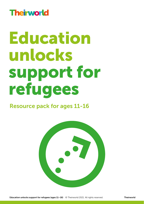## **Theirworld**

# Education unlocks support for refugees

## Resource pack for ages 11-16

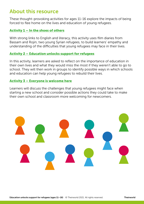## About this resource

These thought-provoking activities for ages 11-16 explore the impacts of being forced to flee home on the lives and education of young refugees.

#### [Activity 1 – In the shoes of others](#page-4-0)

With strong links to English and literacy, this activity uses film diaries from Bassam and Rojin, two young Syrian refugees, to build learners' empathy and understanding of the difficulties that young refugees may face in their lives.

#### [Activity 2 – Education unlocks support for refugees](#page-6-0)

In this activity, learners are asked to reflect on the importance of education in their own lives and what they would miss the most if they weren't able to go to school. They will then work in groups to identify possible ways in which schools and education can help young refugees to rebuild their lives.

#### [Activity 3 – Everyone is welcome here](#page-8-0)

Learners will discuss the challenges that young refugees might face when starting a new school and consider possible actions they could take to make their own school and classroom more welcoming for newcomers.

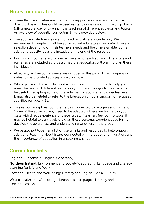## Notes for educators

- These flexible activities are intended to support your teaching rather than direct it. The activities could be used as standalone sessions for a drop down (off-timetable) day or to enrich the teaching of different subjects and topics. An overview of potential curriculum links is provided below.
- The approximate timings given for each activity are a guide only. We recommend completing all the activities but educators may prefer to use a selection depending on their learners' needs and the time available. Some [additional activity ideas](#page-10-0) are included at the end of the resource.
- Learning outcomes are provided at the start of each activity. No starters and plenaries are included as it is assumed that educators will want to plan these individually.
- All activity and resource sheets are included in this pack. An accompanying [slideshow](https://theirworld.org/resources/detail/education-unlocks-support-for-refugees) is provided as a separate download.
- Where possible, the activities and resources are differentiated to help you meet the needs of different learners in your class. This guidance may also be useful in adapting some of the activities for younger and older learners. It may also be helpful to refer to the [Education unlocks support for refugees](https://theirworld.org/resources/detail/education-unlocks-support-for-refugees)  [activities for ages 7-11.](https://theirworld.org/resources/detail/education-unlocks-support-for-refugees)
- This resource explores complex issues connected to refugees and migration. Some of the activities may need to be adapted if there are learners in your class with direct experience of these issues. If learners feel comfortable, it may be helpful to sensitively draw on these personal experiences to further develop the awareness and understanding of others in the group.
- We've also put together a list of [useful links and resources t](#page-11-0)o help support additional teaching about issues connected with refugees and migration, and the importance of education in unlocking change.

## Curriculum links

**England:** Citizenship; English; Geography

Northern Ireland: Environment and Society/Geography; Language and Literacy; Learning for Life and Work

Scotland: Health and Well-being; Literacy and English; Social Studies

Wales: Health and Well-being; Humanities; Languages, Literacy and Communication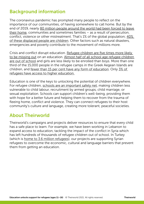## Background information

The coronavirus pandemic has prompted many people to reflect on the importance of our communities, of having somewhere to call home. But by the end of 2019, nearly [80 million people around the world had been forced to leave](https://www.unhcr.org/globaltrends2019/)  [their home,](https://www.unhcr.org/globaltrends2019/) communities and sometimes families – as a result of persecution, conflict, violence or other mistreatment. That's 1% of the global population; [40%](https://www.unhcr.org/globaltrends2019/)  [of these displaced people are children.](https://www.unhcr.org/globaltrends2019/) Other factors such as natural disasters, emergencies and poverty contribute to the movement of millions more.

Crisis and conflict disrupt education. Refugee children are five times more likely [to be missing out](https://en.unesco.org/gem-report/no-more-excuses) on an education. [Almost half of all school age refugee children](https://www.unhcr.org/uk/education.html)  [are out of school](https://www.unhcr.org/uk/education.html) and girls are less likely to be enrolled than boys. More than one third of the 15,000 people in the refugee camps in the Greek Aegean Islands are children, and [fewer than 15 per cent have any form of education](https://theirworld.org/projects/refugee-education-in-the-greek-aegean-islands). Only [3% of](https://www.unhcr.org/en-us/tertiary-education.html)  [refugees have access to higher education.](https://www.unhcr.org/en-us/tertiary-education.html)

Education is one of the keys to unlocking the potential of children everywhere. For refugee children, [schools are an important safety net,](https://www.unhcr.org/57bfe7b14) making children less vulnerable to child labour, recruitment by armed groups, child marriage, or sexual exploitation. Schools can support children's well-being, providing them with hope for a better future and helping them to recover from the trauma of fleeing home, conflict and violence. They can connect refugees to their host community's culture and language, creating more tolerant, peaceful societies.

## About Theirworld

Theirworld's campaigns and projects deliver resources to ensure that every child has a safe place to learn. For example, we have been working in Lebanon to expand access to education, tackling the impact of the conflict in Syria which has left hundreds of thousands of refugee children out of school. In Turkey (which is [home to 3.6 million refugees](https://www.unhcr.org/globaltrends2019/)), our projects are supporting Syrian refugees to overcome the economic, cultural and language barriers that prevent them from getting an education.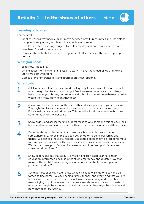

45 min+

#### <span id="page-4-0"></span>Learning outcomes

Learners will:

- Identify reasons why people might move between or within countries and understand that people may or may not have choice in this movement
- use films created by young refugees to build empathy and concern for people who have been forced to leave home
- Consider the potential impacts of being forced to flee home on the lives of young people

#### What you need:

- Slideshow (slides 3-8)
- Online access to the two films: [Bassam's Story: The Future Ahead of Me](https://www.youtube.com/watch?v=51OMRgsZgMU&t=151s) and [Rojin's](https://www.youtube.com/watch?v=LZtIq6HyHvU)  [Story: We Lost Everything](https://www.youtube.com/watch?v=LZtIq6HyHvU)
- Copies of th[e film transcripts a](#page-13-0)nd [information sheet](#page-12-0) (optional)

#### What to do:

- Ask learners to close their eyes and think quietly for a couple of minutes about what it might be like and how it might feel to wake up one day and suddenly have to leave your home, community and school to move somewhere else. What would they miss? How might they feel? 1
- Allow time for learners to briefly discuss their ideas in pairs, groups or as a class. You might like to invite learners to share their own experiences of movement if they feel comfortable in doing so. This could be local movement within their community or on a wider scale. 2
- Show slide 3 and ask learners to suggest reasons why someone might leave their home and move somewhere else – either in the same country or a different one. 3
- Draw out through discussion that some people might choose to move somewhere else, for example to get a better job or to be nearer family and friends. We can call these pull factors. But some people might be forced to move, for example because of conflict or a disaster such as an earthquake or flooding. We can call these push factors. Some examples of pull and push factors are shown on slides 4 and 5. 4
- Show slide 6 and say that about 75 million children each year have their education interrupted because of conflict, emergency and disaster. Say that many of these children are refugees. A definition of the term 'refugee' is provided on slide 7. 5
- Say that most of us will never know what it is like to wake up one day and be forced to flee home. To leave behind family, friends, and everything that you are familiar with to move somewhere new. However we can try and empathise. This means trying to put ourselves in someone else's shoes – to try and understand what others might be experiencing; to imagine what they might be thinking and how they might be feeling. 6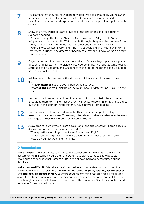|           | Tell learners that they are now going to watch two films created by young Syrian<br>refugees to share their life stories. Point out that each one of us is made up of<br>lots of different stories and exploring these stories can help us to empathise with<br>others.                                                                                                                                                                                                                                                                             |  |  |
|-----------|-----------------------------------------------------------------------------------------------------------------------------------------------------------------------------------------------------------------------------------------------------------------------------------------------------------------------------------------------------------------------------------------------------------------------------------------------------------------------------------------------------------------------------------------------------|--|--|
| 8         | Show the films. Transcripts are provided at the end of this pack as additional<br>support if needed.<br>- Bassam's Story: The Future Ahead of Me - Bassam is a 14-year-old Syrian<br>refugee from the city of Idlib. Watch his life through his eyes as he journeys from<br>Turkey to Vienna to be reunited with his father and return to education.<br>- Rojin's Story: We Lost Everything - Rojin is 15 years old and lives in an informal<br>settlement in Turkey. She dreams of becoming a lawyer but now works on a farm<br>seven days a week. |  |  |
|           | Organise learners into groups of three and four. Give each group a copy a piece<br>of paper and ask learners to divide it into two columns. They should write Feelings<br>at the top of one column and Challenges at the top of the other. Slide 8 could be<br>used as a visual aid for this.                                                                                                                                                                                                                                                       |  |  |
| <b>10</b> | Ask learners to choose one of the stories to think about and discuss in their<br>group.<br>- What <b>challenges</b> has this young person had to face?<br>- What feelings do you think he or she might have at different points during the<br>story?                                                                                                                                                                                                                                                                                                |  |  |
|           | Learners should record their ideas in the two columns on their piece of paper.<br>Encourage them to think of reasons for their ideas. Reasons might relate to direct<br>evidence in the story or things that they have inferred from reading it.                                                                                                                                                                                                                                                                                                    |  |  |
| 12        | Invite learners to share their ideas with others and encourage them to provide<br>reasons for their responses. These might be related to direct evidence in the story<br>or things that they have inferred by watching the film.                                                                                                                                                                                                                                                                                                                    |  |  |
|           | Allow time for some whole-class discussion at the end of activity. Some possible<br>discussion questions are provided on slide 9.<br>- What questions would you like to ask Bassam and Rojin?<br>- What hopes and aspirations do these young refugees have for the future?<br>- How did you feel watching the films?                                                                                                                                                                                                                                |  |  |

#### Differentiation:

Make it easier: Work as a class to first create a storyboard of the events in the lives of Bassam or Rojin. Learners could then annotate these storyboards to show possible challenges and feelings that Bassam or Rojin might have had at different times during the story.

Make it more difficult: Extend learners' knowledge and understanding by sharing the [information sheet](#page-12-0) to explain the meaning of the terms: migrant, refugee, asylum seeker and **internally displaced person**. Learners could go online to research facts and figures about the refugee crisis. Alternatively they could investigate other push and pull factors which might cause people to move between or withi[n countries. See the useful l](#page-11-0)inks and resources for support with this.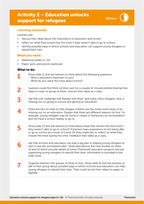## <span id="page-6-0"></span>Activity 2 – Education unlocks support for refugees



#### Learning outcomes

Learners will:

- discuss their ideas about the importance of education and school
- reflect on what they would miss the most if they weren't able to go to school
- identify possible ways in which schools and education can support young refugees to rebuild their lives

#### What you need:

- Slideshow (slides 11-15)
- Paper, pens and pencils (optional)

#### What to do:

1

- Show slide 11 and ask learners to think about the following questions:
	- Why is education important to you?
		- What do you value the most about school?
- Learners could first think on their own for a couple of minutes before sharing their ideas in a pair or group of three. Discuss their ideas as a class. 2
- Say that one challenge that Bassam and Rojin, and many other refugees, face is missing out on going to school and getting an education. 3
- Share the fact on slide 12 that refugee children are five times more likely to be missing out on an education. Explain that there are different reasons for this. For example, young refugees may be living in camps or temporary accommodation and not have a school nearby to go to.  $\blacktriangle$
- Show slide 13 and ask learners to think about what they would miss the most if they weren't able to go to school? If learners have experience of not being able to go to school as a result of Covid-19, they might like to reflect on what they missed the most during this time. Feedback their ideas as a class. 5
- Say that schools and education can play a big part in helping young refugees to start a new life somewhere else. Share and discuss the case studies on slides 14 and 15 which provide details of some Theirworld education projects that are supporting young refugees to rebuild their lives. Information is provided in the slide notes. 6
- Organise learners into groups of three or four. Show slide 16 and ask learners to talk in their group about possible ways in which schools and education can help young refugees to rebuild their lives. They could record their ideas on paper or digitally. 7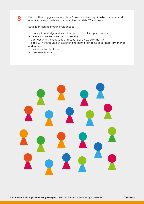

Discuss their suggestions as a class. Some possible ways in which schools and education can provide support are given on slide 17 and below.

Education can help young refugees to:

- develop knowledge and skills to improve their life opportunities
- have a routine and a sense of normality
- connect with the language and culture of a new community
- cope with the trauma of experiencing conflict or being separated from friends and family
- have hope for the future
- make new friends

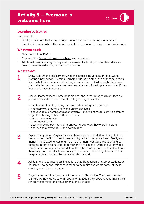## <span id="page-8-0"></span>Activity 3 – Everyone is welcome here

#### Learning outcomes

Learners will:

- Identify challenges that young refugees might face when starting a new school
- Investigate ways in which they could make their school or classroom more welcoming

#### What you need:

- Slideshow (slides 19-21)
- Copies of th[e Everyone is welcome here](#page-15-0) resource sheet
- Additional resources may be required for learners to develop one of their ideas for creating a more welcoming school or classroom

#### What to do:

1

5

Show slide 19 and ask learners what challenges a refugee might face when starting a new school. Remind learners of Bassam's story and ask them to think about what his experience of starting a new school in Austria might have been like. Invite learners to share their own experiences of starting a new school if they feel comfortable in doing so.

Discuss learners' ideas. Some possible challenges that refugees might face are provided on slide 20. For example, refugees might have to: 2

- catch up on learning if they have missed out on going to school
- find their way around a new and unfamiliar place
- get used to a different education system this might mean learning different
- subjects or having to take different exams
- learn a new language
- make new friends
- deal with being put into a different year group than they were in before
- get used to a new culture and community
- Explain that young refugees may also have experienced difficult things in their lives such as conflict in their home country or being separated from family and friends. These experiences might be making them feel sad, anxious or angry. Refugees might also have to cope with the difficulties of living in overcrowded camps or temporary accommodation. It might be noisy, cold, dark and wet and there might not be reliable electricity or internet access. It might be difficult to sleep at night or find a quiet place to do homework. 3
- Ask learners to suggest possible actions that the teachers and other students at Bassam's new school might have taken to help him overcome some of these challenges and feel welcome.  $\blacktriangle$ 
	- Organise learners into groups of three or four. Show slide 21 and explain that learners are now going to think about what action they could take to make their school welcoming for a newcomer such as Bassam.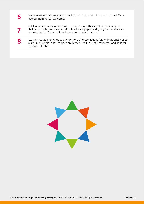| Invite learners to share any personal experiences of starting a new school. What<br>helped them to feel welcome?                                                                                                                 |
|----------------------------------------------------------------------------------------------------------------------------------------------------------------------------------------------------------------------------------|
| Ask learners to work in their group to come up with a list of possible actions<br>that could be taken. They could write a list on paper or digitally. Some ideas are<br>provided in the Everyone is welcome here resource sheet. |
| Learners could then choose one or more of these actions (either individually or as<br>a group or whole-class) to develop further. See the useful resources and links for<br>support with this.                                   |

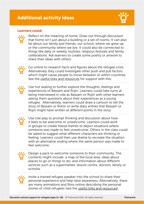## <span id="page-10-0"></span>Additional activity ideas



#### Learners could:

Reflect on the meaning of home. Draw out through discussion that home isn't just about a building or a set of rooms. It can also be about our family and friends, our school, where we grew up or the community where we live. It could also be connected to things like daily or weekly routines, religious festivals and family celebrations. Ask learners to create some poetry or artwork to share their ideas with others.

Go online to research facts and figures about the refugee crisis. Alternatively they could investigate other push and pull factors which might cause people to move between or within countries. See the [useful links and resources](#page-11-0) for support with this.

Use hot seating to further explore the thoughts, feelings and experiences of Bassam and Rojin. Learners could take turns at being interviewed in role as Bassam or Rojin with other learners asking them questions about their experiences as a young refugee. Alternatively, learners could draw a cartoon to tell the story of Bassam or Rohin or write diary entries that Bassam or Rojin might have written at different points in the story.

Use role play to prompt thinking and discussion about how it feels to be welcome or unwelcome. Learners could work in groups to create freeze frames to depict situations where someone was made to feel unwelcome. Others in the class could be asked to suggest what different characters are thinking or feeling. Learners could then use drama to recreate the situation with an alternative ending where the same person was made to feel welcome.

Design a pack to welcome someone to their community. The contents might include: a map of the local area, ideas about places to go or things to do; and information about different services such as a supermarket, leisure centre, doctors, library or schools.

Invite a trained refugee speaker into the school to share their personal experience and help raise awareness. Alternatively, there are many animations and films online describing the personal stories of child refugees (see the [useful links and resources\).](#page-11-0)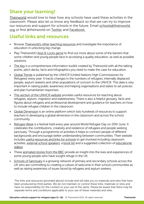## <span id="page-11-0"></span>Share your learning!

[Theirworld](https://theirworld.org) would love to hear how any schools have used these activities in the classroom. Please also let us know any feedback so that we can try to improve our resources and support for schools in the future. Email [schools@theirworld.](mailto:schools%40theirworld.org?subject=) [org](mailto:schools%40theirworld.org?subject=) or find @theirworld on [Twitter](https://twitter.com/theirworld) and [Facebook.](https://www.facebook.com/Theirworld/)

## Useful links and resources

- Browse [Theirworld's other teaching resources](https://theirworld.org/resources/detail/education-can-unlock-big-change) and investigate the importance of education in unlocking big change.
- Play Theirworld's  $Keys$  & Locks game to find out more about some of the barriers that some children and young people face in accessing a quality education, as well as possible solutions.
- [The Key](https://key.theirworld.org) is a comprehensive information toolkit created by Theirworld with all the talking points, pitch decks, facts and infographics you need to make the case for education.
- [Global Trends](https://www.unhcr.org/globaltrends2019/) is published by the UNHCR (United Nations High Commissioner for Refugees) every year. It tracks changes in the numbers of refugees, internally displaced people, asylum seekers and other populations of concern to the UNHCR. This data is very important in raising public awareness and helping organisations and states to set policies and plan humanitarian responses.
- [This section of the UNHCR website](https://www.unhcr.org/uk/teaching-about-refugees) provides useful resources for teaching about refugees, asylum, migration and statelessness. There is also a helpful glossary, facts and figures about refugees and professional development and guidance for teachers on how to include refugee children in the classroom.
- [Global Dimension](https://globaldimension.org.uk) is an online platform which lists hundreds of resources to support teachers in developing a global dimension in the classroom and across the school community.
- [Refugee Week](https://refugeeweek.org.uk) is a festival held every year around World Refugee Day on 20th June. It celebrates the contributions, creativity and resilience of refugees and people seeking sanctuary. Through a programme of activities it helps to connect people of different backgrounds and encourage better understanding between communities. Their website includes [useful resources and links for schools](https://refugeeweek.org.uk/get-involved/at-your-school/) to get involved including classroom activities, [external school speakers,](https://refugeeweek.org.uk/get-involved/education-resources/schools-speakers/) a [book list](https://refugeeweek.org.uk/get-involved/education-resources/fiction-resources/) and a suggested collection of [educational](https://refugeeweek.org.uk/get-involved/education-resources/educational-videos/)  [videos](https://refugeeweek.org.uk/get-involved/education-resources/educational-videos/).
- These [animated stories from the BBC](https://www.bbc.co.uk/teach/class-clips-video/pshe-ks2--ks3-seeking-refuge/zn8bpg8) provide an insight into the lives and experiences of some young people who have sought refuge in the UK.
- [Schools of Sanctuary](https://schools.cityofsanctuary.org) is a growing network of primary and secondary schools across the UK who are committing to creating a culture of welcome in their school communities as well as raising awareness of issues faced by refugees and asylum seekers.

The links and resources [provided above] include and will take you to materials and sites that have been produced by third parties. We do not maintain or control these links, materials or sites and have no responsibility for the content or your use of the same. Please be aware that there may be separate terms and conditions applicable to your use of these materials and sites.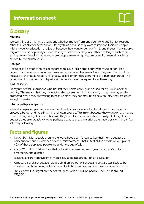## <span id="page-12-0"></span>Information sheet

## **Glossary**

#### Migrant

We can think of a migrant as someone who has moved from one country to another for reasons other than conflict or persecution. Usually this is because they want to improve their life. People might move for education or a job or because they want to be near family and friends. Many people migrate because of poverty or food shortages or because they face other challenges such as an earthquake or flooding. More and more people are moving because of environmental problems caused by the climate crisis.

#### **Refugee**

A refugee is a person who has been forced to leave their home country because of conflict or persecution. Persecution is when someone is mistreated because of who they are. This might be because of their race, religion, nationality, beliefs or for being a member of a particular group. The government of the new country where this person lives has agreed to let them stay.

#### Asylum seeker

An asylum seeker is someone who has left their home country and asked for asylum in another country. This means that they have asked the government in that country if they can stay and be protected. While they are waiting to hear whether they can stay in this new country, they are called an asylum seeker.

#### Internally displaced person

Internally displaced people have also fled their homes for safety. Unlike refugees, they have not crossed a border and are still within their own country. This might because they want to stay, maybe to see if things will get better or because they want to be near friends and family. Or it might be because they are not able to leave, perhaps because they can't afford the travel costs or there isn't a safe way of leaving.

## Facts and figures

- Nearly [80 million people around the world have been forced to flee their home because of](https://www.unhcr.org/globaltrends2019/)  [persecution, conflict, violence or other mistreatment. T](https://www.unhcr.org/globaltrends2019/)hat's 1% of all the people on our planet. 40% of these displaced people are under the age of 18.
- About [75 million children have their education interrupted](https://odi.org/en/publications/education-cannot-wait-a-fund-for-education-in-emergencies/) each year because of conflict, emergency and disaster.
- [Refugee children are five times more likely to be missing out on an education.](https://en.unesco.org/gem-report/no-more-excuses)
- [Almost half of all school age refugee children are out of school](https://www.unhcr.org/uk/education.html) and girls are less likely to be enrolled than boys. Many of the schools that children do attend are makeshift ones in camps.
- [Turkey hosts the largest number of refugees, with 3.6 million people.](https://www.unhcr.org/globaltrends2019/) The UK has around 133,000.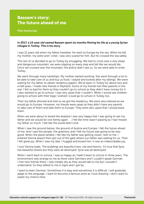### <span id="page-13-0"></span>Bassam's story: The future ahead of me

Film transcript

In 2017, a 14-year old named Bassam spent six months filming his life as a young Syrian refugee in Turkey. This is his story.

I was 12 years old when my father travelled. He went to Europe by the sea. When he left, my mother, my sister and I cried. I was very scared for him. But he crossed the sea safely.

The rest of us decided to go to Turkey by smuggling. We had to cross over a very steep and dangerous mountain; we were slipping on every step and felt like we would die. Once we crossed over the mountain, the police didn't see us. So we were able to enter Turkey.

We went through many hardships. My mother started working. She went through a lot to be able to take care of us and buy us food. I stayed and looked after my siblings. We were waiting for my father to obtain residency papers. We've been in Turkey for about two and a half years. I made new friends in Reyhanli. Some of my friends lost their parents in the war. I felt so bad for them as they couldn't go to school as they didn't have money for it. I also wanted to go to school. I was very upset that I couldn't. When I would see children going to school with their bags I wished I could go to school in Turkey too.

Then my father phoned and told us we got the residency. We were very relieved as we would go to Europe. However, my friends were upset as they didn't have any parents to take care of them and take them to Europe. They were also upset that I would leave them.

When we were about to board the airplane I was very happy that I was going to see my father and we would be one family again. …I felt like time wasn't passing as I had missed my father so much. I felt like the world didn't end.

When I saw the ground below, the ground of Austria and Europe, I felt the future ahead of me. And I saw the people, the greenery, and I felt my future was going to be very good. When the plane landed, I felt like my father was getting closer, next to me. I entered Vienna airport then got out of the gate where our father was waiting for us. Then I felt great joy. When I saw my dad, I hugged and kissed him. It was an indescribable joy.

I love Vienna loads. The buildings are beautiful here, old and historic. It's true that Syria has beautiful streets but they were all destroyed. Syria was all destroyed.

When I went back to school, I was so happy as I hadn't been to school in three years. The environment was strange to me as there were Germans and I couldn't speak German. I met new friends there. I was initially shy as they would talk to me but I wouldn't understand. So they talked to me in signs and I got by.

I want to learn German. Sometimes it is easy and sometimes it is difficult. I will gradually adapt to the language. I want to become a famous artist as I love drawing. I don't want to waste my chance here.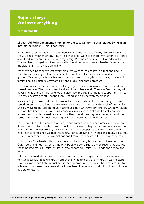## Rojin's story: We lost everything

Film transcript

#### 15 year-old Rojin documented her life for the past six months as a refugee living in an informal settlement. This is her story.

It has been over two years since we fled Kobane and came to Turkey. Before the war my life was like any other girl my age. My siblings and I went to school, my father had a shop and I lived in a beautiful house with my family. We had an ordinary but wonderful life. The war has changed our lives drastically. Everything was so much harder. Especially for my sister Shirin who has a disability.

When we fled Kobane we lost everything. We were forced to live in a tent and had to learn to live this way. But we soon adapted. We learnt to cook on a fire and sleep on the ground. My younger siblings became masters in turning anything into a toy. I have a big family. I have six sisters, of whom I am the oldest, and three brothers.

Five of us work on the nearby farms. Every day we leave at 6am and return around 7pm, sometimes later. The work is very hard and I don't like it at all. The days feel like they will never end as the sun is hot and we are given few breaks. But I do it to support my family. The few days we get off, I spend them resting and playing with my siblings.

My sister Rojda is my best friend. I am lucky to have a sister like her. Although we have very different personalities, we are extremely close. My mother is the rock of our family. She is always there supporting us, making us laugh when we cry, and cry when we laugh. The war has been hard on all of us, especially my younger siblings. It breaks my heart to see them unable to read or write. Now they spend their days wandering around the camp and playing with neighbouring children. I worry about their futures.

Last month the police came to our camp and forced us and other families to move out. So we moved into a nearby house. It makes me so much happier to have a roof over our heads. When we first arrived, my siblings and I were desperate to have showers again. It had been so long since we had this luxury. Although living in a house has many blessings, it is also very expensive. So my siblings and I must work more to keep up with the rent.

I think one of the hardest things for me is not having anything to read. I have read the Quran several times now as it's the only book we own. But I do miss reading books and escaping into stories. I miss my life in Syria deeply but I miss my friends and school the most.

I always dreamed about being a lawyer. I never wanted to get married. I always wanted to have a career. Most girls dream about their wedding day but my dream was to stand in a courtroom and fight for justice. As the war drags on, my dream becomes harder to achieve. It has been three years since I have been in education and I don't know if I'll ever be able to return.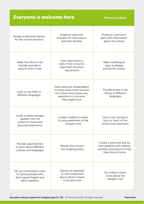<span id="page-15-0"></span>

| <b>Everyone is welcome here</b><br><b>Resource sheet</b>                                        |                                                                                                                               |                                                                                                              |  |  |
|-------------------------------------------------------------------------------------------------|-------------------------------------------------------------------------------------------------------------------------------|--------------------------------------------------------------------------------------------------------------|--|--|
| Design a welcome banner<br>for the school entrance                                              | Organise welcome<br>activities for newcomers<br>and their families                                                            | Produce a welcome<br>pack with information<br>about the school                                               |  |  |
| Make the effort to be<br>friendly and talk to<br>anyone who is new                              | Give newcomers a<br>plan of the school to<br>help them find their<br>way around                                               | Make multilingual<br>signs to display<br>around the school                                                   |  |  |
| Learn to say hello in<br>different languages                                                    | Have welcome ambassadors<br>to show newcomers around<br>the school and answer any<br>questions or concerns<br>they might have | Provide books in the<br>library in different<br>languages                                                    |  |  |
| Invite a trainer refugee<br>speaker into the<br>school to share their<br>personal experience    | Create a leaflet or poster<br>to raise awareness of the<br>refugee crisis                                                     | Give a tour (virtual or<br>face-to-face) of the<br>school and classroom                                      |  |  |
| Provide opportunities<br>to learn about different<br>cultures and languages                     | Review the school's<br>anti-bullying policy                                                                                   | Create a welcome box for<br>new students with objects,<br>activities and advice to help<br>them feel at home |  |  |
| Set up conversation clubs<br>for young people who<br>don't speak English and<br>native speakers | Deliver an assembly<br>to raise awareness<br>about what it means<br>to be welcome                                             | Go online to learn<br>more about the<br>refugee crisis                                                       |  |  |